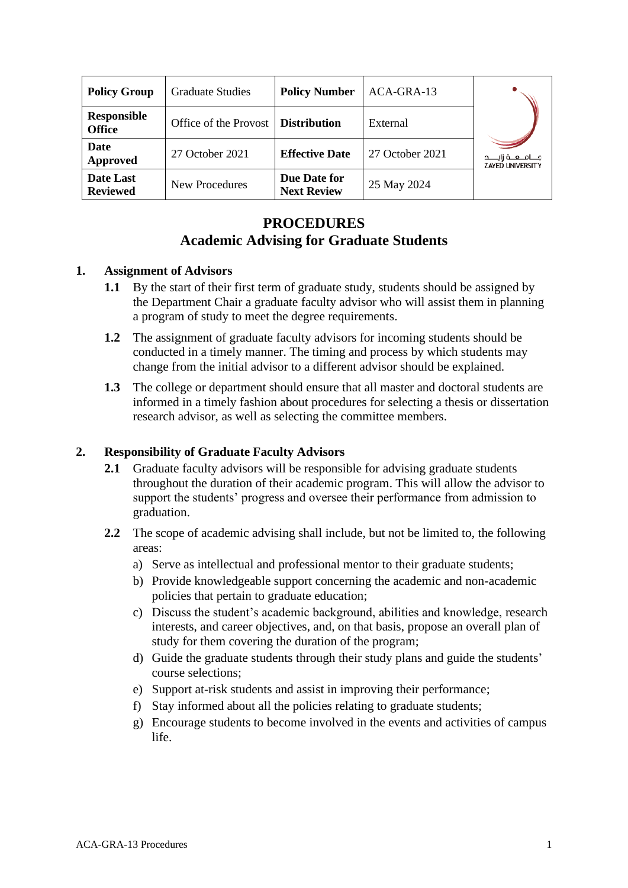| <b>Policy Group</b>                 | <b>Graduate Studies</b> | <b>Policy Number</b>               | ACA-GRA-13      |                                                        |
|-------------------------------------|-------------------------|------------------------------------|-----------------|--------------------------------------------------------|
| <b>Responsible</b><br><b>Office</b> | Office of the Provost   | <b>Distribution</b>                | External        |                                                        |
| <b>Date</b><br>Approved             | 27 October 2021         | <b>Effective Date</b>              | 27 October 2021 | جــــامــــعــــة زايـــــد<br><b>ZAYED UNIVERSITY</b> |
| Date Last<br><b>Reviewed</b>        | New Procedures          | Due Date for<br><b>Next Review</b> | 25 May 2024     |                                                        |

# **PROCEDURES Academic Advising for Graduate Students**

#### **1. Assignment of Advisors**

- **1.1** By the start of their first term of graduate study, students should be assigned by the Department Chair a graduate faculty advisor who will assist them in planning a program of study to meet the degree requirements.
- **1.2** The assignment of graduate faculty advisors for incoming students should be conducted in a timely manner. The timing and process by which students may change from the initial advisor to a different advisor should be explained.
- **1.3** The college or department should ensure that all master and doctoral students are informed in a timely fashion about procedures for selecting a thesis or dissertation research advisor, as well as selecting the committee members.

## **2. Responsibility of Graduate Faculty Advisors**

- **2.1** Graduate faculty advisors will be responsible for advising graduate students throughout the duration of their academic program. This will allow the advisor to support the students' progress and oversee their performance from admission to graduation.
- **2.2** The scope of academic advising shall include, but not be limited to, the following areas:
	- a) Serve as intellectual and professional mentor to their graduate students;
	- b) Provide knowledgeable support concerning the academic and non-academic policies that pertain to graduate education;
	- c) Discuss the student's academic background, abilities and knowledge, research interests, and career objectives, and, on that basis, propose an overall plan of study for them covering the duration of the program;
	- d) Guide the graduate students through their study plans and guide the students' course selections;
	- e) Support at-risk students and assist in improving their performance;
	- f) Stay informed about all the policies relating to graduate students;
	- g) Encourage students to become involved in the events and activities of campus life.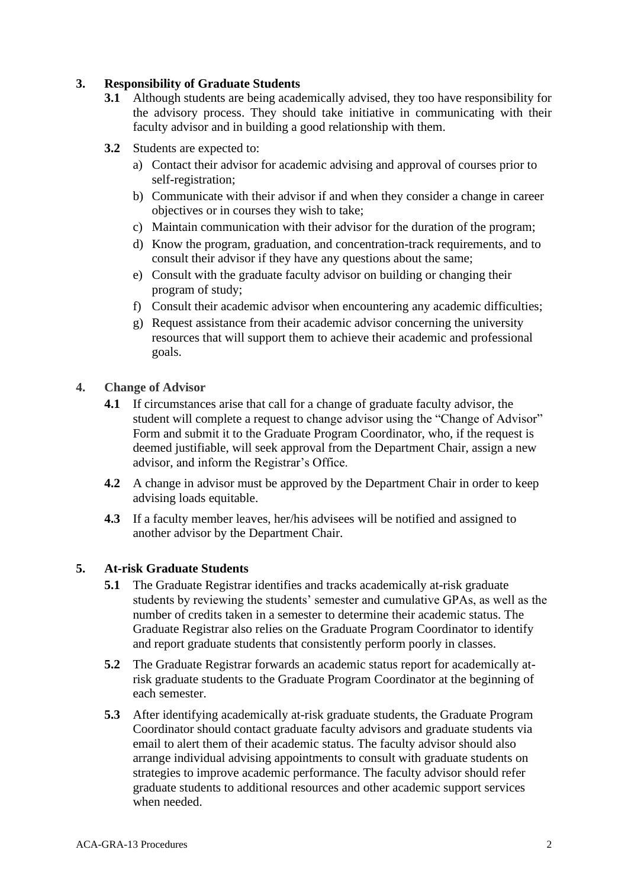## **3. Responsibility of Graduate Students**

- **3.1** Although students are being academically advised, they too have responsibility for the advisory process. They should take initiative in communicating with their faculty advisor and in building a good relationship with them.
- **3.2** Students are expected to:
	- a) Contact their advisor for academic advising and approval of courses prior to self-registration;
	- b) Communicate with their advisor if and when they consider a change in career objectives or in courses they wish to take;
	- c) Maintain communication with their advisor for the duration of the program;
	- d) Know the program, graduation, and concentration-track requirements, and to consult their advisor if they have any questions about the same;
	- e) Consult with the graduate faculty advisor on building or changing their program of study;
	- f) Consult their academic advisor when encountering any academic difficulties;
	- g) Request assistance from their academic advisor concerning the university resources that will support them to achieve their academic and professional goals.
- **4. Change of Advisor**
	- **4.1** If circumstances arise that call for a change of graduate faculty advisor, the student will complete a request to change advisor using the "Change of Advisor" Form and submit it to the Graduate Program Coordinator, who, if the request is deemed justifiable, will seek approval from the Department Chair, assign a new advisor, and inform the Registrar's Office.
	- **4.2** A change in advisor must be approved by the Department Chair in order to keep advising loads equitable.
	- **4.3** If a faculty member leaves, her/his advisees will be notified and assigned to another advisor by the Department Chair.

## **5. At-risk Graduate Students**

- **5.1** The Graduate Registrar identifies and tracks academically at-risk graduate students by reviewing the students' semester and cumulative GPAs, as well as the number of credits taken in a semester to determine their academic status. The Graduate Registrar also relies on the Graduate Program Coordinator to identify and report graduate students that consistently perform poorly in classes.
- **5.2** The Graduate Registrar forwards an academic status report for academically atrisk graduate students to the Graduate Program Coordinator at the beginning of each semester.
- **5.3** After identifying academically at-risk graduate students, the Graduate Program Coordinator should contact graduate faculty advisors and graduate students via email to alert them of their academic status. The faculty advisor should also arrange individual advising appointments to consult with graduate students on strategies to improve academic performance. The faculty advisor should refer graduate students to additional resources and other academic support services when needed.